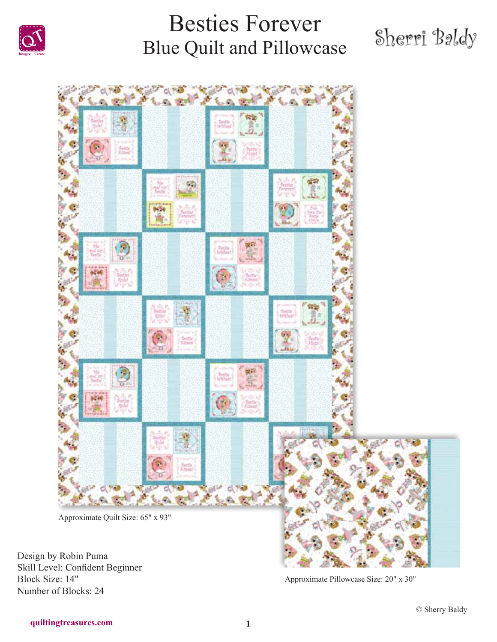

# Sherri Baldy



Design by Robin Puma Skill Level: Confident Beginner Block Size: 14" Number of Blocks: 24

Approximate Pillowcase Size: 20" x 30"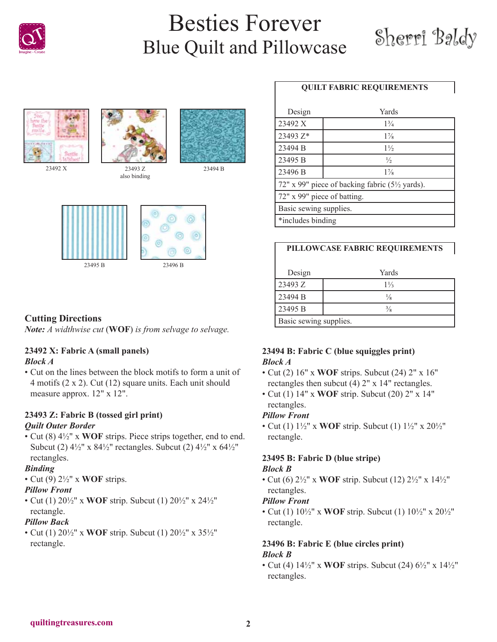







also binding





### **Cutting Directions**

*Note: A widthwise cut* (**WOF**) *is from selvage to selvage.*

### **23492 X: Fabric A (small panels)**

### *Block A*

• Cut on the lines between the block motifs to form a unit of 4 motifs (2 x 2). Cut (12) square units. Each unit should measure approx. 12" x 12".

### **23493 Z: Fabric B (tossed girl print)** *Quilt Outer Border*

• Cut (8) 4½" x **WOF** strips. Piece strips together, end to end. Subcut (2)  $4\frac{1}{2}$ " x  $8\frac{4\frac{1}{2}}{2}$ " rectangles. Subcut (2)  $4\frac{1}{2}$ " x  $6\frac{4\frac{1}{2}}{2}$ " rectangles.

### *Binding*

• Cut (9) 2½" x **WOF** strips.

### *Pillow Front*

• Cut (1) 20½" x **WOF** strip. Subcut (1) 20½" x 24½" rectangle.

### *Pillow Back*

• Cut (1) 20½" x **WOF** strip. Subcut (1) 20½" x 35½" rectangle.

### **QUILT FABRIC REQUIREMENTS**

| Design                                                      | Yards          |  |
|-------------------------------------------------------------|----------------|--|
| 23492 X                                                     | $1\frac{3}{4}$ |  |
| 23493 Z*                                                    | $1\frac{7}{8}$ |  |
| 23494 B                                                     | $1\frac{1}{2}$ |  |
| 23495 B                                                     | $\frac{1}{2}$  |  |
| 23496 B                                                     | $1\%$          |  |
| 72" x 99" piece of backing fabric (5 <sup>1/2</sup> yards). |                |  |
| 72" x 99" piece of batting.                                 |                |  |
| Basic sewing supplies.                                      |                |  |
| wincludes binding                                           |                |  |

| PILLOWCASE FABRIC REQUIREMENTS |                |
|--------------------------------|----------------|
| Design                         | Yards          |
| 23493 Z                        | $1\frac{1}{3}$ |
| 23494 B                        | $\frac{1}{8}$  |
| 23495 B                        | $\frac{3}{8}$  |
| Basic sewing supplies.         |                |

### **23494 B: Fabric C (blue squiggles print)** *Block A*

- Cut (2) 16" x **WOF** strips. Subcut (24) 2" x 16" rectangles then subcut (4) 2" x 14" rectangles.
- Cut (1) 14" x **WOF** strip. Subcut (20) 2" x 14" rectangles.

### *Pillow Front*

• Cut (1) 1½" x **WOF** strip. Subcut (1) 1½" x 20½" rectangle.

### **23495 B: Fabric D (blue stripe)**

#### *Block B*

• Cut (6) 2½" x **WOF** strip. Subcut (12) 2½" x 14½" rectangles.

#### *Pillow Front*

• Cut (1) 10½" x **WOF** strip. Subcut (1) 10½" x 20½" rectangle.

### **23496 B: Fabric E (blue circles print)** *Block B*

• Cut (4) 14½" x **WOF** strips. Subcut (24) 6½" x 14½" rectangles.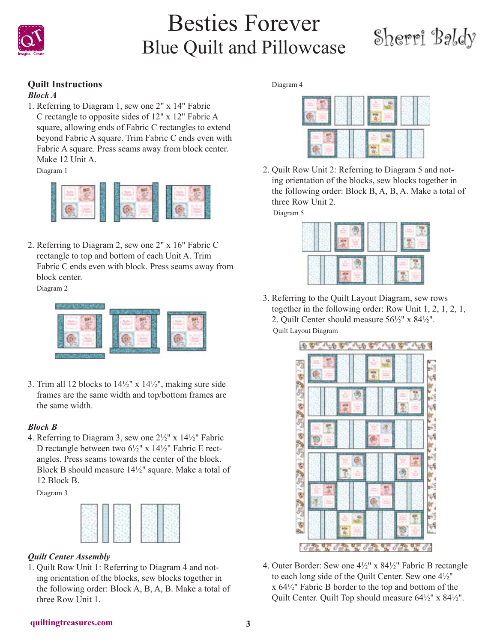

# Sherri Baldy

### **Quilt Instructions**

### *Block A*

1. Referring to Diagram 1, sew one 2" x 14" Fabric C rectangle to opposite sides of 12" x 12" Fabric A square, allowing ends of Fabric C rectangles to extend beyond Fabric A square. Trim Fabric C ends even with Fabric A square. Press seams away from block center. Make 12 Unit A.

Diagram 1



2. Referring to Diagram 2, sew one 2" x 16" Fabric C rectangle to top and bottom of each Unit A. Trim Fabric C ends even with block. Press seams away from block center.

Diagram 2



3. Trim all 12 blocks to  $14\frac{1}{2}$ " x  $14\frac{1}{2}$ ", making sure side frames are the same width and top/bottom frames are the same width.

#### *Block B*

4. Referring to Diagram 3, sew one 2½" x 14½" Fabric D rectangle between two 6½" x 14½" Fabric E rectangles. Press seams towards the center of the block. Block B should measure 14½" square. Make a total of 12 Block B.

Diagram 3



### *Quilt Center Assembly*

1. Quilt Row Unit 1: Referring to Diagram 4 and noting orientation of the blocks, sew blocks together in the following order: Block A, B, A, B. Make a total of three Row Unit 1.

Diagram 4



2. Quilt Row Unit 2: Referring to Diagram 5 and noting orientation of the blocks, sew blocks together in the following order: Block B, A, B, A. Make a total of three Row Unit 2.

Diagram 5



3. Referring to the Quilt Layout Diagram, sew rows together in the following order: Row Unit 1, 2, 1, 2, 1, 2. Quilt Center should measure 56½" x 84½". Quilt Layout Diagram



4. Outer Border: Sew one 4½" x 84½" Fabric B rectangle to each long side of the Quilt Center. Sew one 4½" x 64½" Fabric B border to the top and bottom of the Quilt Center. Quilt Top should measure 64½" x 84½".

#### **quiltingtreasures.com 3**